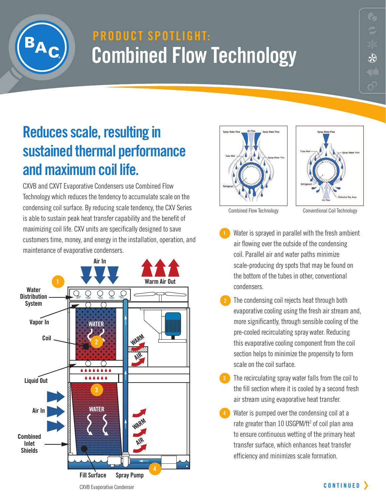

## **PRODUCT SPOTLIGHT: Combined Flow Technology**

### **Reduces scale, resulting in sustained thermal performance and maximum coil life.**

CXVB and CXVT Evaporative Condensers use Combined Flow Technology which reduces the tendency to accumulate scale on the condensing coil surface. By reducing scale tendency, the CXV Series is able to sustain peak heat transfer capability and the benefit of maximizing coil life. CXV units are specifically designed to save customers time, money, and energy in the installation, operation, and maintenance of evaporative condensers.







Combined Flow Technology Conventional Coil Technology

- Water is sprayed in parallel with the fresh ambient air flowing over the outside of the condensing coil. Parallel air and water paths minimize scale-producing dry spots that may be found on the bottom of the tubes in other, conventional condensers.
- The condensing coil rejects heat through both evaporative cooling using the fresh air stream and, more significantly, through sensible cooling of the pre-cooled recirculating spray water. Reducing this evaporative cooling component from the coil section helps to minimize the propensity to form scale on the coil surface. **2**
- **3** The recirculating spray water falls from the coil to the fill section where it is cooled by a second fresh air stream using evaporative heat transfer.
- Water is pumped over the condensing coil at a rate greater than 10 USGPM/ft<sup>2</sup> of coil plan area to ensure continuous wetting of the primary heat transfer surface, which enhances heat transfer efficiency and minimizes scale formation.